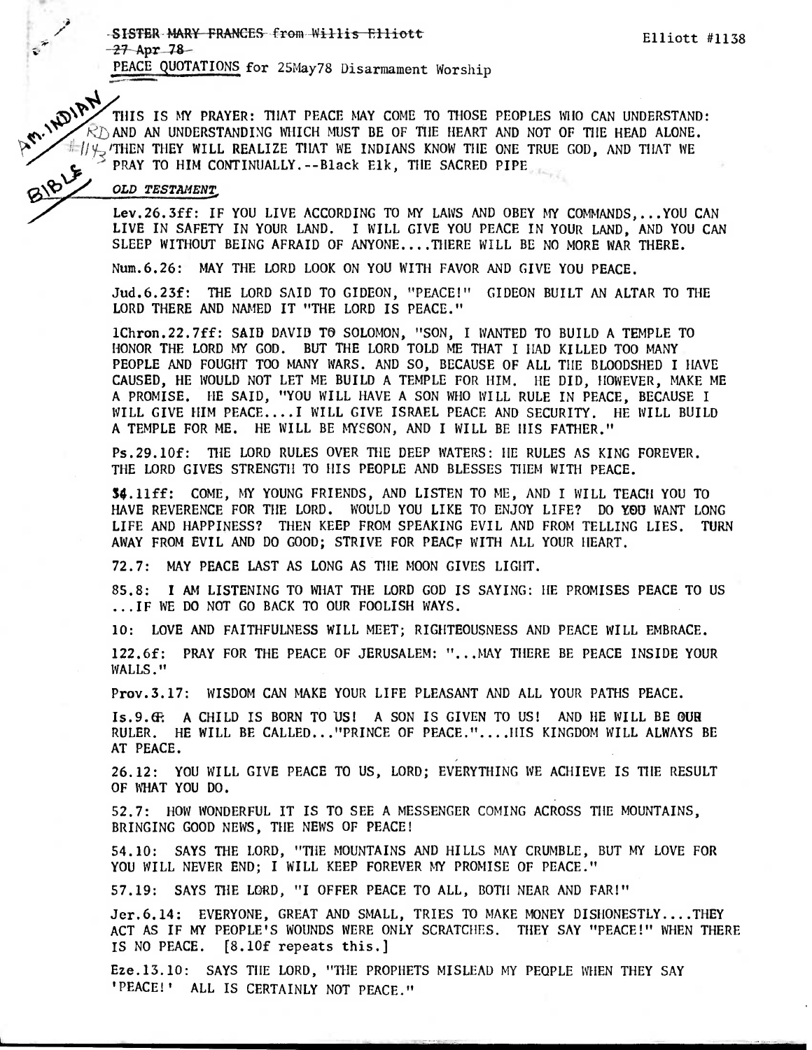Elliott #1138

-SISTER-MARY FRANCES from Willis Elliott  $-27$  Apr 78

THIS IS MY PRAYER: THAT PEACE MAY COME TO THOSE PEOPLES MIO CAN UNDERSTAND THIS IS MY PRAYER: THAT PEACE MAY COME TO THOSE PEOPLES MIO CAN UNDERSTAND AND AN UNDERSTANDING WHICH MUST BE OF THE HEART AND NOT OF THE HEAD ALON THIS IS MY PRAYER: THAT PEACE MAY COME TO THOSE PEOPLES WHO CAN UNDERSTAND:  $\mathcal{R}$  and an understanding which must be of the heart and not of the head alone.

τ.

Lev. 26. 3ff: IF YOU LIVE ACCORDING TO MY LAWS AND OBEY MY COMMANDS.... YOU CAN LIVE IN SAFETY IN YOUR LAND. I WILL GIVE YOU PEACE IN YOUR LAND, AND YOU CAN SLEEP WITHOUT BEING AFRAID OF ANYONE....THERE WILL BE NO MORE WAR THERE.

Num. 6.26: MAY THE LORD LOOK ON YOU WITH FAVOR AND GIVE YOU PEACE.

Jud. 6.23f: THE LORD SAID TO GIDEON, "PEACE!" GIDEON BUILT AN ALTAR TO THE LORD THERE AND NAMED IT "THE LORD IS PEACE."

1Chron.22.7ff: SAIB DAVIB TO SOLOMON, "SON, I WANTED TO BUILD A TEMPLE TO HONOR THE LORD MY GOD. BUT THE LORD TOLD ME THAT I HAD KILLED TOO MANY PEOPLE AND FOUGHT TOO MANY WARS. AND SO, BECAUSE OF ALL THE BLOODSHED I HAVE CAUSED, HE WOULD NOT LET ME BUILD A TEMPLE FOR HIM. HE DID, HOWEVER, MAKE ME A PROMISE. HE SAID, "YOU WILL HAVE A SON WHO WILL RULE IN PEACE, BECAUSE I WILL GIVE HIM PEACE....I WILL GIVE ISRAEL PEACE AND SECURITY. HE WILL BUILD A TEMPLE FOR ME. HE WILL BE MYSSON, AND I WILL BE HIS FATHER."

Ps.29.10f: THE LORD RULES OVER THE DEEP WATERS: HE RULES AS KING FOREVER. THE LORD GIVES STRENGTH TO HIS PEOPLE AND BLESSES THEM WITH PEACE.

34.11ff: COME, MY YOUNG FRIENDS, AND LISTEN TO ME, AND I WILL TEACH YOU TO HAVE REVERENCE FOR THE LORD. WOULD YOU LIKE TO ENJOY LIFE? DO YOU WANT LONG LIFE AND HAPPINESS? THEN KEEP FROM SPEAKING EVIL AND FROM TELLING LIES. TURN AWAY FROM EVIL AND DO GOOD; STRIVE FOR PEACF WITH ALL YOUR HEART.

72.7: MAY PEACE LAST AS LONG AS THE MOON GIVES LIGHT.

85.8: I AM LISTENING TO WHAT THE LORD GOD IS SAYING: HE PROMISES PEACE TO US ... IF WE DO NOT GO BACK TO OUR FOOLISH WAYS.

10: LOVE AND FAITHFULNESS WILL MEET: RIGHTEOUSNESS AND PEACE WILL EMBRACE.

122.6f: PRAY FOR THE PEACE OF JERUSALEM: "... MAY THERE BE PEACE INSIDE YOUR WALLS."

Prov. 3.17: WISDOM CAN MAKE YOUR LIFE PLEASANT AND ALL YOUR PATHS PEACE.

Is.9. G: A CHILD IS BORN TO US! A SON IS GIVEN TO US! AND HE WILL BE OUR RULER. HE WILL BE CALLED..."PRINCE OF PEACE.".... HIS KINGDOM WILL ALWAYS BE AT PEACE.

26.12: YOU WILL GIVE PEACE TO US, LORD; EVERYTHING WE ACHIEVE IS THE RESULT OF WHAT YOU DO.

52.7: HOW WONDERFUL IT IS TO SEE A MESSENGER COMING ACROSS THE MOUNTAINS, BRINGING GOOD NEWS, THE NEWS OF PEACE!

54.10: SAYS THE LORD, "THE MOUNTAINS AND HILLS MAY CRUMBLE, BUT MY LOVE FOR YOU WILL NEVER END; I WILL KEEP FOREVER MY PROMISE OF PEACE."

57.19: SAYS THE LORD, "I OFFER PEACE TO ALL, BOTH NEAR AND FAR!"

Jer. 6.14: EVERYONE, GREAT AND SMALL, TRIES TO MAKE MONEY DISHONESTLY....THEY ACT AS IF MY PEOPLE'S WOUNDS WERE ONLY SCRATCHES. THEY SAY "PEACE!" WHEN THERE IS NO PEACE. [8.10f repeats this.]

Eze.13.10: SAYS THE LORD, "THE PROPHETS MISLEAD MY PEOPLE WHEN THEY SAY 'PEACE!' ALL IS CERTAINLY NOT PEACE."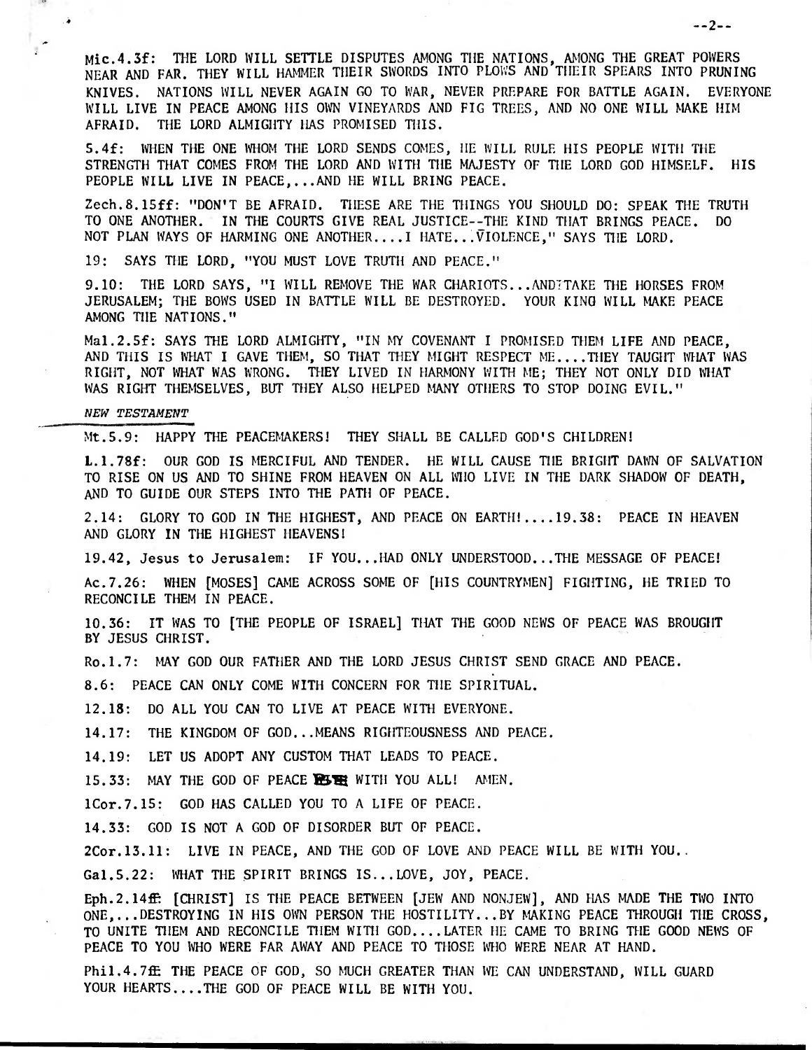Mio.4.3f: THE LORD WILL SETTLE DISPUTES AMONG THE NATIONS, AMONG THE GREAT POWERS NEAR AND FAR. THEY WILL HAMMER THEIR SWORDS INTO PLOWS AND THEIR SPEARS INTO PRUNING KNIVES. NATIONS WILL NEVER AGAIN GO TO WAR, NEVER PREPARE FOR BATTLE AGAIN. EVERYONE WILL LIVE IN PEACE AMONG HIS OWN VINEYARDS AND FIG TREES, AND NO ONE WILL MAKE HIM AFRAID. THE LORD ALMIGHTY HAS PROMISED THIS.

5.4f: WHEN THE ONE WHOM THE LORD SENDS COMES, HE WILL RULE HIS PEOPLE WITH THE STRENGTH THAT COMES FROM THE LORD AND WITH THE MAJESTY OF THE LORD GOD HIMSELF. HIS PEOPLE WILL LIVE IN PEACE,...AND HE WILL BRING PEACE.

Zech.8.15ff: "DON'T BE AFRAID. THESE ARE THE THINGS YOU SHOULD DO: SPEAK THE TRUTH TO ONE ANOTHER. IN THE COURTS GIVE REAL JUSTICE--THE KIND THAT BRINGS PEACE. DO NOT PLAN WAYS OF HARMING ONE ANOTHER....I HATE... VIOLENCE," SAYS THE LORD.

19: SAYS THE LORD, "YOU MUST LOVE TRUTH AND PEACE."

9.10: THE LORD SAYS, "I WILL REMOVE THE WAR CHARIOTS... ANDITAKE THE HORSES FROM JERUSALEM; THE BOWS USED IN BATTLE WILL BE DESTROYED. YOUR KING WILL MAKE PEACE AMONG THE NATIONS."

Ma1.2.5f: SAYS THE LORD ALMIGHTY, "IN MY COVENANT I PROMISED THEM LIFE AND PEACE, AND THIS IS WHAT I GAVE THEM, SO THAT THEY MIGHT RESPECT ME.... THEY TAUGHT WHAT WAS RIGHT, NOT WHAT WAS WRONG. THEY LIVED IN HARMONY WITH ME; THEY NOT ONLY DID WHAT WAS RIGHT THEMSELVES, BUT THEY ALSO HELPED MANY OTHERS TO STOP DOING EVIL."

## **NEW TESTAMENT**

 $\mathbf{r}$ 

Mt.5.9: HAPPY THE PEACEMAKERS! THEY SHALL BE CALLED GOD'S CHILDREN!

L.1.78f: OUR GOD IS MERCIFUL AND TENDER. HE WILL CAUSE THE BRIGHT DAWN OF SALVATION TO RISE ON US AND TO SHINE FROM HEAVEN ON ALL WHO LIVE IN THE DARK SHADOW OF DEATH, AND TO GUIDE OUR STEPS INTO THE PATH OF PEACE.

2.14: GLORY TO GOD IN THE HIGHEST, AND PEACE ON EARTH!....19.38: PEACE IN HEAVEN AND GLORY IN THE HIGHEST HEAVENS!

19.42, Jesus to Jerusalem: IF YOU...HAD ONLY UNDERSTOOD...THE MESSAGE OF PEACE!

Ac.7.26: WHEN [MOSES] CAME ACROSS SOME OF [HIS COUNTRYMEN] FIGHTING, HE TRIED TO RECONCILE THEM IN PEACE.

10.36: IT WAS TO [THE PEOPLE OF ISRAEL] THAT THE GOOD NEWS OF PEACE WAS BROUGHT BY JESUS CHRIST.

Ro.1.7: MAY GOD OUR FATHER AND THE LORD JESUS CHRIST SEND GRACE AND PEACE.

8.6: PEACE CAN ONLY COME WITH CONCERN FOR THE SPIRITUAL.

12.18: DO ALL YOU CAN TO LIVE AT PEACE WITH EVERYONE.

14.17: THE KINGDOM OF GOD...MEANS RIGHTEOUSNESS AND PEACE.

14.19: LET US ADOPT ANY CUSTOM THAT LEADS TO PEACE.

15.33: MAY THE GOD OF PEACE **R5 HE WITH YOU ALL!** AMEN.

1Cor.7.15: GOD HAS CALLED YOU TO A LIFE OF PEACE.

14.33: GOD IS NOT A GOD OF DISORDER BUT OF PEACE.

2Cor.13.11: LIVE IN PEACE, AND THE GOD OF LOVE AND PEACE WILL BE WITH YOU..

Ga1.5.22: WHAT THE SPIRIT BRINGS IS...LOVE, JOY, PEACE.

Eph.2.14ff: [CHRIST] IS THE PEACE BETWEEN [JEW AND NONJEW], AND HAS MADE THE TWO INTO ONE,...DESTROYING IN HIS OWN PERSON THE HOSTILITY...BY MAKING PEACE THROUGH THE CROSS, TO UNITE THEM AND RECONCILE THEM WITH GOD....LATER HE CAME TO BRING THE GOOD NEWS OF PEACE TO YOU WHO WERE FAR AWAY AND PEACE TO THOSE WHO WERE NEAR AT HAND.

Phil.4.7ff THE PEACE OF GOD, SO MUCH GREATER THAN WE CAN UNDERSTAND, WILL GUARD YOUR HEARTS....THE GOD OF PEACE WILL BE WITH YOU.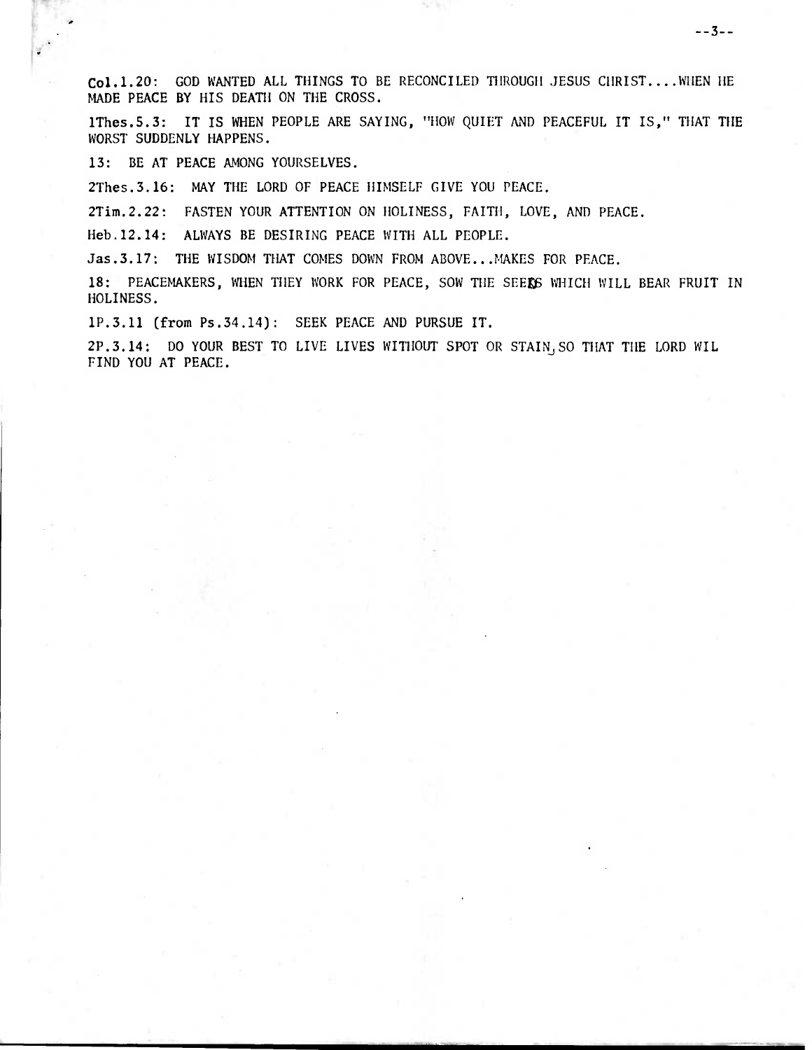Co1.1.20: GOD WANTED ALL THINGS TO BE RECONCILED THROUGH JESUS CHRIST....WHEN HE MADE PEACE BY HIS DEATH ON THE CROSS.

1Thes.S.3: IT IS WHEN PEOPLE ARE SAYING, "HOW QUIET AND PEACEFUL IT IS," THAT THE WORST SUDDENLY HAPPENS.

13: BE AT PEACE AMONG YOURSELVES.

2Thes.3.16: MAY THE LORD OF PEACE HIMSELF GIVE YOU PEACE.

2Tim.2.22: FASTEN YOUR ATTENTION ON HOLINESS, FAITH, LOVE, AND PEACE.

Heb.12.14: ALWAYS BE DESIRING PEACE WITH ALL PEOPLE.

Jas.3.17: THE WISDOM THAT COMES DOWN FROM ABOVE...MAKES FOR PEACE.

18: PEACEMAKERS, WHEN THEY WORK FOR PEACE, SOW THE SEERS WHICH WILL BEAR FRUIT IN HOLINESS.

1P.3.11 (from Ps.34.14): SEEK PEACE AND PURSUE IT.

2P.3.14: DO YOUR BEST TO LIVE LIVES WITHOUT SPOT OR STAINJ SO THAT THE LORD WIL FIND YOU AT PEACE.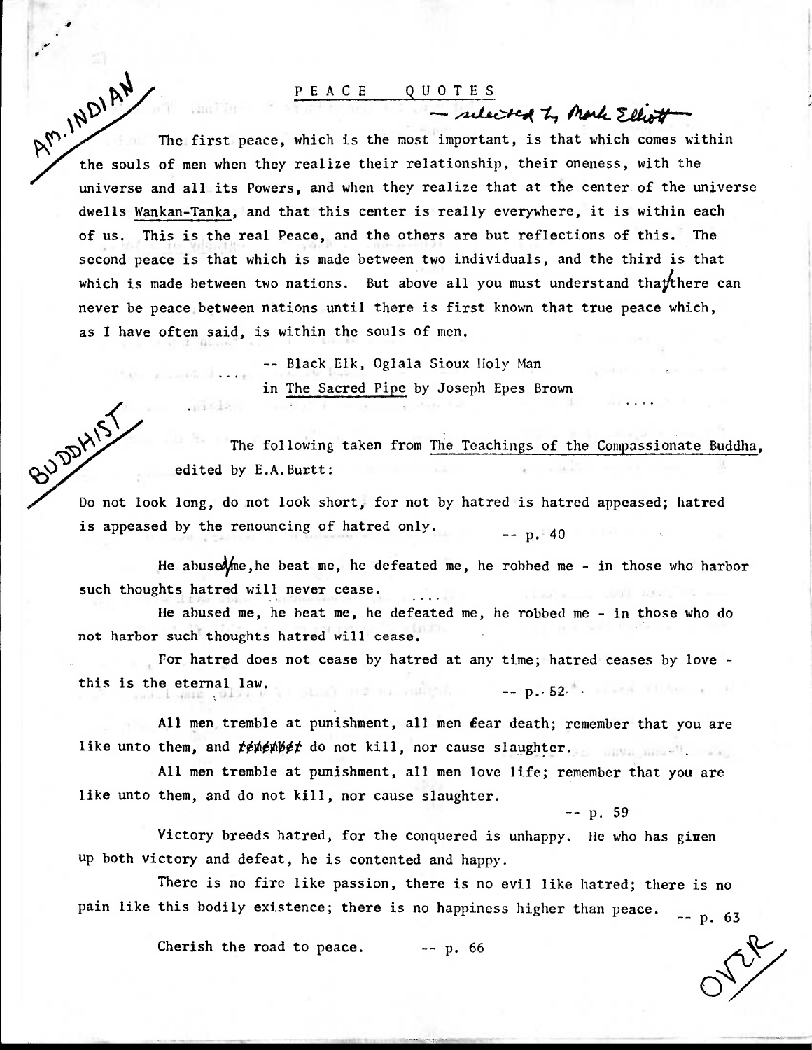## PEACE QUOTES

 $\sim$  scleeted  $\sim$  more Elliott

The first peace, which is the most important, is that which comes within  $\mu_{\text{max}}$ .<br>  $\mu_{\text{max}}$  The first peace, which is the most important, is that which comes with the souls of men when they realize their relationship, their oneness, with the universe and all its Powers, and when they realize that at the center of the universe dwells Wankan-Tanka, and that this center is really everywhere, it is within each of us. This is the real Peace, and the others are but reflections of this. The second peace is that which is made between two individuals, and the third is that which is made between two nations. But above all you must understand thay there can never be peace between nations until there is first known that true peace which, as I have often said, is within the souls of men.

> -- Black Elk, Oglala Sioux Holy Man in The Sacred Pipe by Joseph Epes Brown

The following taken from The Teachings of the Compassionate Buddha, edited by E.A.Burtt:

BUDDHIST Do not look long, do not look short, for not by hatred is hatred appeased; hatred is appeased by the renouncing of hatred only.  $P = p.40$ 

He abuseone, he beat me, he defeated me, he robbed me - in those who harbor such thoughts hatred will never cease.

He abused me, he beat me, he defeated me, he robbed me - in those who do not harbor such thoughts hatred will cease.

For hatred does not cease by hatred at any time; hatred ceases by love this is the eternal law. ) has no substitute the second position of the second political political political political political political political political political political political political political political political political politic

All men tremble at punishment, all men fear death; remember that you are like unto them, and *tenenbet* do not kill, nor cause slaughter.

All men tremble at punishment, all men love life; remember that you are like unto them, and do not kill, nor cause slaughter.

p. 59

Victory breeds hatred, for the conquered is unhappy. He who has given up both victory and defeat, he is contented and happy.

There is no fire like passion, there is no evil like hatred; there is no pain like this bodily existence; there is no happiness higher than peace.  $P = p. 63$ 

Cherish the road to peace.  $-$ -p. 66